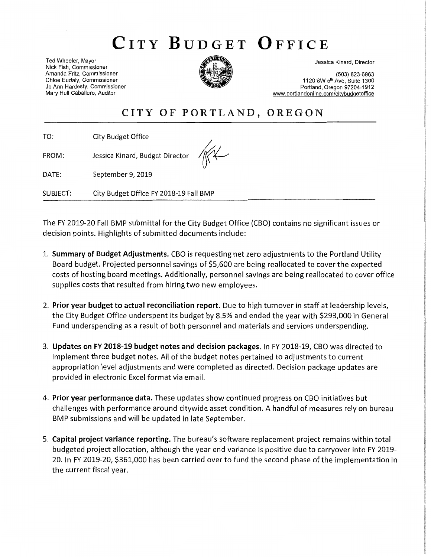# CITY BUDGET OFFICE

Ted Wheeler, Mayor Nick Fish, Commissioner Amanda Fritz, Commissioner Chloe Eudaly, Commissioner Jo Ann Hardesty, Commissioner Mary Hull Caballero, Auditor



Jessica Kinard, Director

(503) 823-6963 1120 SW 5th Ave, Suite 1300 Portland, Oregon 97204-1912 www.portlandonline.com/citybudgetoffice

## CITY OF PORTLAND, OREGON

TO: City Budget Office

Jessica Kinard, Budget Director FROM:

DATE: September 9, 2019

**SUBJECT:** City Budget Office FY 2018-19 Fall BMP

The FY 2019-20 Fall BMP submittal for the City Budget Office (CBO) contains no significant issues or decision points. Highlights of submitted documents include:

- 1. Summary of Budget Adjustments. CBO is requesting net zero adjustments to the Portland Utility Board budget. Projected personnel savings of \$5,600 are being reallocated to cover the expected costs of hosting board meetings. Additionally, personnel savings are being reallocated to cover office supplies costs that resulted from hiring two new employees.
- 2. Prior year budget to actual reconciliation report. Due to high turnover in staff at leadership levels, the City Budget Office underspent its budget by 8.5% and ended the year with \$293,000 in General Fund underspending as a result of both personnel and materials and services underspending.
- 3. Updates on FY 2018-19 budget notes and decision packages. In FY 2018-19, CBO was directed to implement three budget notes. All of the budget notes pertained to adjustments to current appropriation level adjustments and were completed as directed. Decision package updates are provided in electronic Excel format via email.
- 4. Prior year performance data. These updates show continued progress on CBO initiatives but challenges with performance around citywide asset condition. A handful of measures rely on bureau BMP submissions and will be updated in late September.
- 5. Capital project variance reporting. The bureau's software replacement project remains within total budgeted project allocation, although the year end variance is positive due to carryover into FY 2019-20. In FY 2019-20, \$361,000 has been carried over to fund the second phase of the implementation in the current fiscal year.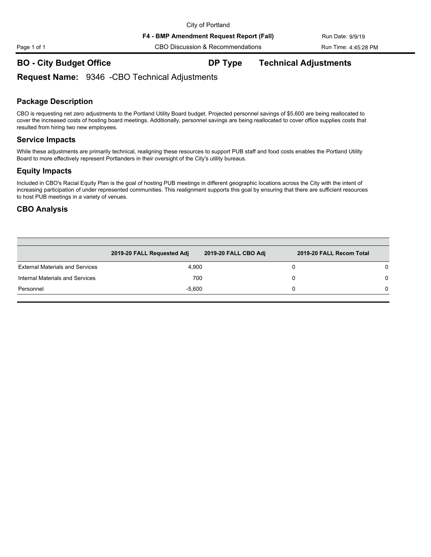## **BO - City Budget Office DP Type Technical Adjustments**

## **Request Name:** 9346 -CBO Technical Adjustments

### **Package Description**

CBO is requesting net zero adjustments to the Portland Utility Board budget. Projected personnel savings of \$5,600 are being reallocated to cover the increased costs of hosting board meetings. Additionally, personnel savings are being reallocated to cover office supplies costs that resulted from hiring two new employees.

### **Service Impacts**

While these adjustments are primarily technical, realigning these resources to support PUB staff and food costs enables the Portland Utility Board to more effectively represent Portlanders in their oversight of the City's utility bureaus.

### **Equity Impacts**

Included in CBO's Racial Equity Plan is the goal of hosting PUB meetings in different geographic locations across the City with the intent of increasing participation of under represented communities. This realignment supports this goal by ensuring that there are sufficient resources to host PUB meetings in a variety of venues.

### **CBO Analysis**

|                                        | 2019-20 FALL Requested Adj | 2019-20 FALL CBO Adj | 2019-20 FALL Recom Total |          |
|----------------------------------------|----------------------------|----------------------|--------------------------|----------|
| <b>External Materials and Services</b> | 4.900                      |                      |                          | 0        |
| Internal Materials and Services        |                            | 700                  |                          | $\Omega$ |
| Personnel                              | $-5.600$                   |                      |                          | 0        |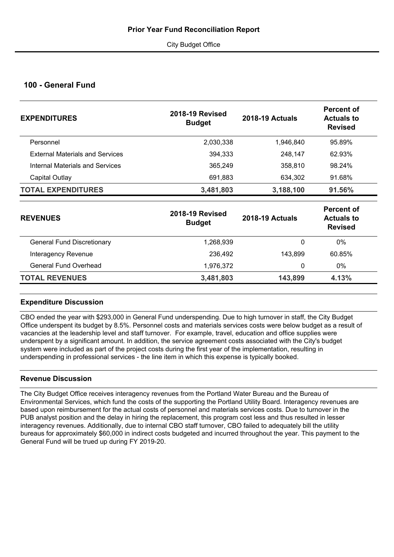## **100 - General Fund**

| <b>EXPENDITURES</b>                    | <b>2018-19 Revised</b><br><b>Budget</b> | <b>2018-19 Actuals</b> | Percent of<br><b>Actuals to</b><br><b>Revised</b> |  |
|----------------------------------------|-----------------------------------------|------------------------|---------------------------------------------------|--|
| Personnel                              | 2,030,338                               | 1,946,840              | 95.89%                                            |  |
| <b>External Materials and Services</b> | 394,333                                 | 248,147                | 62.93%                                            |  |
| Internal Materials and Services        | 365,249                                 | 358,810                | 98.24%                                            |  |
| Capital Outlay                         | 691,883                                 | 634,302                | 91.68%                                            |  |
| <b>TOTAL EXPENDITURES</b>              | 3,481,803                               | 3,188,100              | 91.56%                                            |  |
| <b>REVENUES</b>                        | <b>2018-19 Revised</b><br><b>Budget</b> | <b>2018-19 Actuals</b> | Percent of<br><b>Actuals to</b><br><b>Revised</b> |  |

|                                   | <b>Duaget</b> |         | <b>Revised</b> |  |  |
|-----------------------------------|---------------|---------|----------------|--|--|
| <b>General Fund Discretionary</b> | 1,268,939     |         | 0%             |  |  |
| Interagency Revenue               | 236,492       | 143.899 | 60.85%         |  |  |
| General Fund Overhead             | 1.976.372     |         | $0\%$          |  |  |
| <b>TOTAL REVENUES</b>             | 3,481,803     | 143,899 | 4.13%          |  |  |

## **Expenditure Discussion**

CBO ended the year with \$293,000 in General Fund underspending. Due to high turnover in staff, the City Budget Office underspent its budget by 8.5%. Personnel costs and materials services costs were below budget as a result of vacancies at the leadership level and staff turnover. For example, travel, education and office supplies were underspent by a significant amount. In addition, the service agreement costs associated with the City's budget system were included as part of the project costs during the first year of the implementation, resulting in underspending in professional services - the line item in which this expense is typically booked.

## **Revenue Discussion**

The City Budget Office receives interagency revenues from the Portland Water Bureau and the Bureau of Environmental Services, which fund the costs of the supporting the Portland Utility Board. Interagency revenues are based upon reimbursement for the actual costs of personnel and materials services costs. Due to turnover in the PUB analyst position and the delay in hiring the replacement, this program cost less and thus resulted in lesser interagency revenues. Additionally, due to internal CBO staff turnover, CBO failed to adequately bill the utility bureaus for approximately \$60,000 in indirect costs budgeted and incurred throughout the year. This payment to the General Fund will be trued up during FY 2019-20.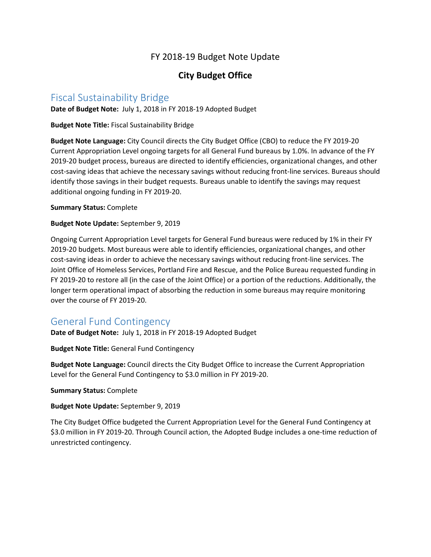## FY 2018-19 Budget Note Update

## **City Budget Office**

## Fiscal Sustainability Bridge

**Date of Budget Note:** July 1, 2018 in FY 2018-19 Adopted Budget

**Budget Note Title:** Fiscal Sustainability Bridge

**Budget Note Language:** City Council directs the City Budget Office (CBO) to reduce the FY 2019-20 Current Appropriation Level ongoing targets for all General Fund bureaus by 1.0%. In advance of the FY 2019-20 budget process, bureaus are directed to identify efficiencies, organizational changes, and other cost-saving ideas that achieve the necessary savings without reducing front-line services. Bureaus should identify those savings in their budget requests. Bureaus unable to identify the savings may request additional ongoing funding in FY 2019-20.

**Summary Status:** Complete

**Budget Note Update:** September 9, 2019

Ongoing Current Appropriation Level targets for General Fund bureaus were reduced by 1% in their FY 2019-20 budgets. Most bureaus were able to identify efficiencies, organizational changes, and other cost-saving ideas in order to achieve the necessary savings without reducing front-line services. The Joint Office of Homeless Services, Portland Fire and Rescue, and the Police Bureau requested funding in FY 2019-20 to restore all (in the case of the Joint Office) or a portion of the reductions. Additionally, the longer term operational impact of absorbing the reduction in some bureaus may require monitoring over the course of FY 2019-20.

## General Fund Contingency

**Date of Budget Note:** July 1, 2018 in FY 2018-19 Adopted Budget

**Budget Note Title:** General Fund Contingency

**Budget Note Language:** Council directs the City Budget Office to increase the Current Appropriation Level for the General Fund Contingency to \$3.0 million in FY 2019-20.

**Summary Status:** Complete

**Budget Note Update:** September 9, 2019

The City Budget Office budgeted the Current Appropriation Level for the General Fund Contingency at \$3.0 million in FY 2019-20. Through Council action, the Adopted Budge includes a one-time reduction of unrestricted contingency.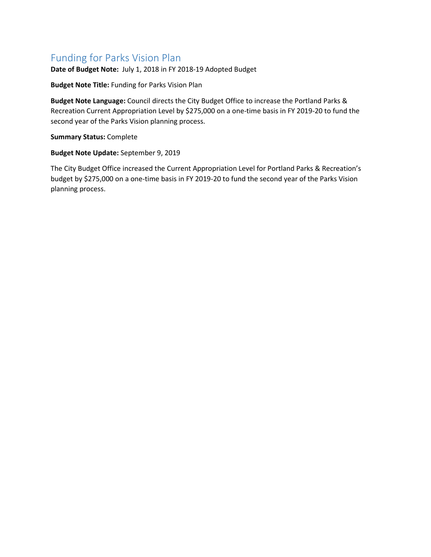## Funding for Parks Vision Plan

**Date of Budget Note:** July 1, 2018 in FY 2018-19 Adopted Budget

**Budget Note Title:** Funding for Parks Vision Plan

**Budget Note Language:** Council directs the City Budget Office to increase the Portland Parks & Recreation Current Appropriation Level by \$275,000 on a one-time basis in FY 2019-20 to fund the second year of the Parks Vision planning process.

**Summary Status:** Complete

### **Budget Note Update:** September 9, 2019

The City Budget Office increased the Current Appropriation Level for Portland Parks & Recreation's budget by \$275,000 on a one-time basis in FY 2019-20 to fund the second year of the Parks Vision planning process.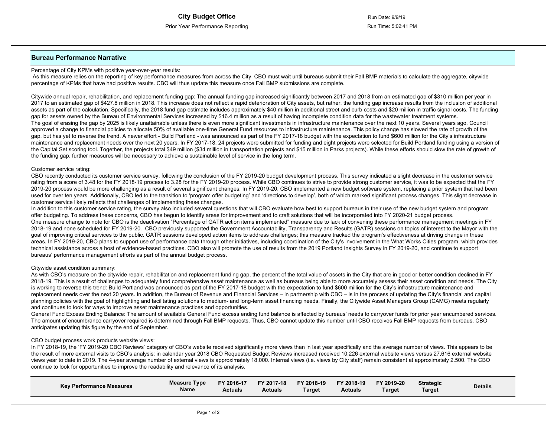#### **Bureau Performance Narrative**

#### Percentage of City KPMs with positive year-over-year results:

As this measure relies on the reporting of key performance measures from across the City, CBO must wait until bureaus submit their Fall BMP materials to calculate the aggregate, citywide percentage of KPMs that have had positive results. CBO will thus update this measure once Fall BMP submissions are complete.

Citywide annual repair, rehabilitation, and replacement funding gap: The annual funding gap increased significantly between 2017 and 2018 from an estimated gap of \$310 million per year in 2017 to an estimated gap of \$427.8 million in 2018. This increase does not reflect a rapid deterioration of City assets, but rather, the funding gap increase results from the inclusion of additional assets as part of the calculation. Specifically, the 2018 fund gap estimate includes approximately \$40 million in additional street and curb costs and \$20 million in traffic signal costs. The funding gap for assets owned by the Bureau of Environmental Services increased by \$16.4 million as a result of having incomplete condition data for the wastewater treatment systems. The goal of erasing the gap by 2025 is likely unattainable unless there is even more significant investments in infrastructure maintenance over the next 10 years. Several years ago, Council approved a change to financial policies to allocate 50% of available one-time General Fund resources to infrastructure maintenance. This policy change has slowed the rate of growth of the gap, but has yet to reverse the trend. A newer effort - Build Portland - was announced as part of the FY 2017-18 budget with the expectation to fund \$600 million for the City's infrastructure maintenance and replacement needs over the next 20 years. In FY 2017-18, 24 projects were submitted for funding and eight projects were selected for Build Portland funding using a version of the Capital Set scoring tool. Together, the projects total \$49 million (\$34 million in transportation projects and \$15 million in Parks projects). While these efforts should slow the rate of growth of the funding gap, further measures will be necessary to achieve a sustainable level of service in the long term.

#### Customer service rating:

CBO recently conducted its customer service survey, following the conclusion of the FY 2019-20 budget development process. This survey indicated a slight decrease in the customer service rating from a score of 3.48 for the FY 2018-19 process to 3.28 for the FY 2019-20 process. While CBO continues to strive to provide strong customer service, it was to be expected that the FY 2019-20 process would be more challenging as a result of several significant changes. In FY 2019-20, CBO implemented a new budget software system, replacing a prior system that had been used for over ten years. Additionally, CBO led to the transition to 'program offer budgeting' and 'directions to develop', both of which marked significant process changes. This slight decrease in customer service likely reflects that challenges of implementing these changes.

In addition to this customer service rating, the survey also included several questions that will CBO evaluate how best to support bureaus in their use of the new budget system and program offer budgeting. To address these concerns, CBO has begun to identify areas for improvement and to craft solutions that will be incorporated into FY 2020-21 budget process. One measure change to note for CBO is the deactivation "Percentage of GATR action items implemented" measure due to lack of convening these performance management meetings in FY 2018-19 and none scheduled for FY 2019-20. CBO previously supported the Government Accountability, Transparency and Results (GATR) sessions on topics of interest to the Mayor with the goal of improving critical services to the public. GATR sessions developed action items to address challenges; this measure tracked the program's effectiveness at driving change in these areas. In FY 2019-20, CBO plans to support use of performance data through other initiatives, including coordination of the City's involvement in the What Works Cities program, which provides technical assistance across a host of evidence-based practices. CBO also will promote the use of results from the 2019 Portland Insights Survey in FY 2019-20, and continue to support bureaus' performance management efforts as part of the annual budget process.

#### Citywide asset condition summary:

As with CBO's measure on the citywide repair, rehabilitation and replacement funding gap, the percent of the total value of assets in the City that are in good or better condition declined in FY 2018-19. This is a result of challenges to adequately fund comprehensive asset maintenance as well as bureaus being able to more accurately assess their asset condition and needs. The City is working to reverse this trend: Build Portland was announced as part of the FY 2017-18 budget with the expectation to fund \$600 million for the City's infrastructure maintenance and replacement needs over the next 20 years. In addition, the Bureau of Revenue and Financial Services – in partnership with CBO – is in the process of updating the City's financial and capital planning policies with the goal of highlighting and facilitating solutions to medium- and long-term asset financing needs. Finally, the Citywide Asset Managers Group (CAMG) meets regularly and continues to look for ways to improve asset maintenance practices and opportunities.

General Fund Excess Ending Balance: The amount of available General Fund excess ending fund balance is affected by bureaus' needs to carryover funds for prior year encumbered services. The amount of encumbrance carryover required is determined through Fall BMP requests. Thus, CBO cannot update this number until CBO receives Fall BMP requests from bureaus. CBO anticipates updating this figure by the end of September.

#### CBO budget process work products website views:

In FY 2018-19, the 'FY 2019-20 CBO Reviews' category of CBO's website received significantly more views than in last year specifically and the average number of views. This appears to be the result of more external visits to CBO's analysis: in calendar year 2018 CBO Requested Budget Reviews increased received 10,226 external website views versus 27,616 external website views year to date in 2019. The 4-year average number of external views is approximately 18,000. Internal views (i.e. views by City staff) remain consistent at approximately 2.500. The CBO continue to look for opportunities to improve the readability and relevance of its analysis.

| <b>Kev Performance Measures</b> | <b>Measure Type</b><br><b>Name</b> | FY 2016-17<br><b>Actuals</b> | FY 2017-18<br><b>Actuals</b> | FY 2018-19<br>Target | FY 2018-19<br>Actuals | FY 2019-20<br>Target | <b>Strategic</b><br>Target | <b>Details</b> |
|---------------------------------|------------------------------------|------------------------------|------------------------------|----------------------|-----------------------|----------------------|----------------------------|----------------|
|---------------------------------|------------------------------------|------------------------------|------------------------------|----------------------|-----------------------|----------------------|----------------------------|----------------|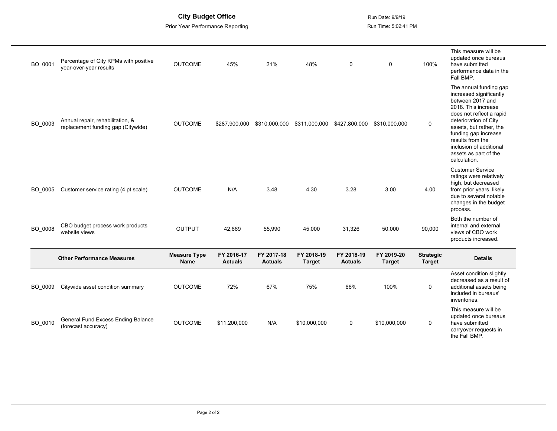**City Budget Office** Run Date: 9/9/19

Prior Year Performance Reporting **Run Time: 5:02:41 PM** 

| BO 0001 | Percentage of City KPMs with positive<br>year-over-year results        | <b>OUTCOME</b>                     | 45%                          | 21%                          | 48%                         | $\mathbf 0$                  | $\mathbf 0$                 | 100%                              | This measure will be<br>updated once bureaus<br>have submitted<br>performance data in the<br>Fall BMP.                                                                                                                                                                                       |
|---------|------------------------------------------------------------------------|------------------------------------|------------------------------|------------------------------|-----------------------------|------------------------------|-----------------------------|-----------------------------------|----------------------------------------------------------------------------------------------------------------------------------------------------------------------------------------------------------------------------------------------------------------------------------------------|
| BO_0003 | Annual repair, rehabilitation, &<br>replacement funding gap (Citywide) | <b>OUTCOME</b>                     | \$287.900.000                | \$310,000,000                | \$311,000,000               | \$427,800,000                | \$310,000,000               | $\mathbf 0$                       | The annual funding gap<br>increased significantly<br>between 2017 and<br>2018. This increase<br>does not reflect a rapid<br>deterioration of City<br>assets, but rather, the<br>funding gap increase<br>results from the<br>inclusion of additional<br>assets as part of the<br>calculation. |
| BO 0005 | Customer service rating (4 pt scale)                                   | <b>OUTCOME</b>                     | N/A                          | 3.48                         | 4.30                        | 3.28                         | 3.00                        | 4.00                              | <b>Customer Service</b><br>ratings were relatively<br>high, but decreased<br>from prior years, likely<br>due to several notable<br>changes in the budget<br>process.                                                                                                                         |
| BO_0008 | CBO budget process work products<br>website views                      | <b>OUTPUT</b>                      | 42.669                       | 55,990                       | 45,000                      | 31,326                       | 50,000                      | 90,000                            | Both the number of<br>internal and external<br>views of CBO work<br>products increased.                                                                                                                                                                                                      |
|         | <b>Other Performance Measures</b>                                      | <b>Measure Type</b><br><b>Name</b> | FY 2016-17<br><b>Actuals</b> | FY 2017-18<br><b>Actuals</b> | FY 2018-19<br><b>Target</b> | FY 2018-19<br><b>Actuals</b> | FY 2019-20<br><b>Target</b> | <b>Strategic</b><br><b>Target</b> | <b>Details</b>                                                                                                                                                                                                                                                                               |
| BO_0009 | Citywide asset condition summary                                       | <b>OUTCOME</b>                     | 72%                          | 67%                          | 75%                         | 66%                          | 100%                        | 0                                 | Asset condition slightly<br>decreased as a result of<br>additional assets being<br>included in bureaus'<br>inventories.                                                                                                                                                                      |
| BO_0010 | General Fund Excess Ending Balance<br>(forecast accuracy)              | <b>OUTCOME</b>                     | \$11,200,000                 | N/A                          | \$10,000,000                | 0                            | \$10,000,000                | $\mathbf 0$                       | This measure will be<br>updated once bureaus<br>have submitted<br>carryover requests in<br>the Fall BMP.                                                                                                                                                                                     |